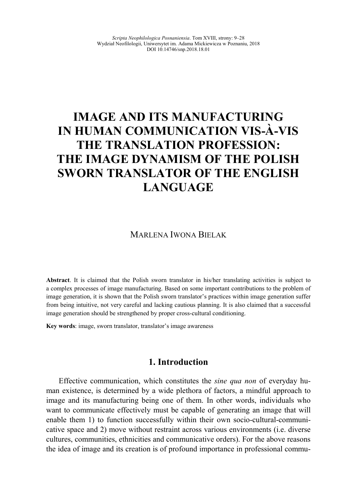# **IMAGE AND ITS MANUFACTURING** IN HUMAN COMMUNICATION VIS-À-VIS THE TRANSLATION PROFESSION: **THE IMAGE DYNAMISM OF THE POLISH SWORN TRANSLATOR OF THE ENGLISH LANGUAGE**

### MARLENA IWONA BIELAK

Abstract. It is claimed that the Polish sworn translator in his/her translating activities is subject to a complex processes of image manufacturing. Based on some important contributions to the problem of image generation, it is shown that the Polish sworn translator's practices within image generation suffer from being intuitive, not very careful and lacking cautious planning. It is also claimed that a successful image generation should be strengthened by proper cross-cultural conditioning.

**Key words**: image, sworn translator, translator's image awareness

### **1. Introduction**

Effective communication, which constitutes the *sine qua non* of everyday human existence, is determined by a wide plethora of factors, a mindful approach to image and its manufacturing being one of them. In other words, individuals who want to communicate effectively must be capable of generating an image that will enable them 1) to function successfully within their own socio-cultural-communicative space and 2) move without restraint across various environments (i.e. diverse cultures, communities, ethnicities and communicative orders). For the above reasons the idea of image and its creation is of profound importance in professional commu-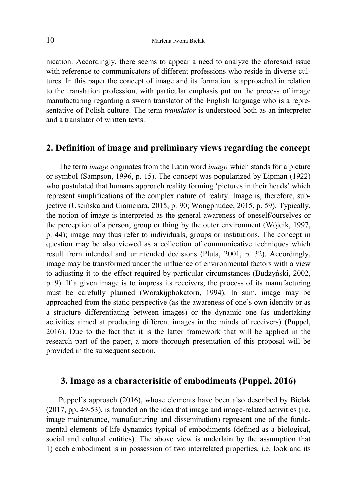nication. Accordingly, there seems to appear a need to analyze the aforesaid issue with reference to communicators of different professions who reside in diverse cultures. In this paper the concept of image and its formation is approached in relation to the translation profession, with particular emphasis put on the process of image manufacturing regarding a sworn translator of the English language who is a representative of Polish culture. The term *translator* is understood both as an interpreter and a translator of written texts.

### **2. Definition of image and preliminary views regarding the concept**

The term *image* originates from the Latin word *imago* which stands for a picture or symbol (Sampson, 1996, p. 15). The concept was popularized by Lipman (1922) who postulated that humans approach reality forming 'pictures in their heads' which represent simplifications of the complex nature of reality. Image is, therefore, subjective (Uścińska and Ciamciara, 2015, p. 90; Wongphudee, 2015, p. 59). Typically, the notion of image is interpreted as the general awareness of oneself/ourselves or the perception of a person, group or thing by the outer environment (Wójcik, 1997, p. 44); image may thus refer to individuals, groups or institutions. The concept in question may be also viewed as a collection of communicative techniques which result from intended and unintended decisions (Pluta, 2001, p. 32). Accordingly, image may be transformed under the influence of environmental factors with a view to adjusting it to the effect required by particular circumstances (Budzyński, 2002, p. 9). If a given image is to impress its receivers, the process of its manufacturing must be carefully planned (Worakijphokatorn, 1994). In sum, image may be approached from the static perspective (as the awareness of one's own identity or as a structure differentiating between images) or the dynamic one (as undertaking activities aimed at producing different images in the minds of receivers) (Puppel, 2016). Due to the fact that it is the latter framework that will be applied in the research part of the paper, a more thorough presentation of this proposal will be provided in the subsequent section.

### **3. Image as a characterisitic of embodiments (Puppel, 2016)**

Puppel's approach (2016), whose elements have been also described by Bielak (2017, pp. 49-53), is founded on the idea that image and image-related activities (i.e. image maintenance, manufacturing and dissemination) represent one of the fundamental elements of life dynamics typical of embodiments (defined as a biological, social and cultural entities). The above view is underlain by the assumption that 1) each embodiment is in possession of two interrelated properties, i.e. look and its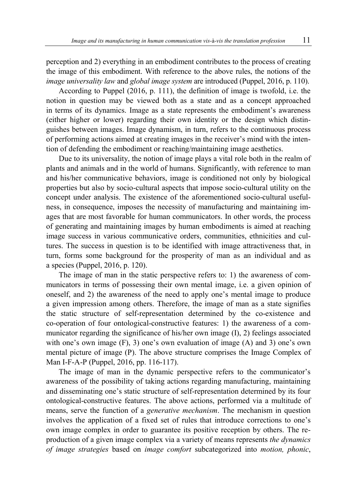perception and 2) everything in an embodiment contributes to the process of creating the image of this embodiment. With reference to the above rules, the notions of the *image universality law* and *global image system* are introduced (Puppel, 2016, p. 110).

According to Puppel (2016, p. 111), the definition of image is twofold, i.e. the notion in question may be viewed both as a state and as a concept approached in terms of its dynamics. Image as a state represents the embodiment's awareness (either higher or lower) regarding their own identity or the design which distinguishes between images. Image dynamism, in turn, refers to the continuous process of performing actions aimed at creating images in the receiver's mind with the intention of defending the embodiment or reaching/maintaining image aesthetics.

Due to its universality, the notion of image plays a vital role both in the realm of plants and animals and in the world of humans. Significantly, with reference to man and his/her communicative behaviors, image is conditioned not only by biological properties but also by socio-cultural aspects that impose socio-cultural utility on the concept under analysis. The existence of the aforementioned socio-cultural usefulness, in consequence, imposes the necessity of manufacturing and maintaining images that are most favorable for human communicators. In other words, the process of generating and maintaining images by human embodiments is aimed at reaching image success in various communicative orders, communities, ethnicities and cultures. The success in question is to be identified with image attractiveness that, in turn, forms some background for the prosperity of man as an individual and as a species (Puppel, 2016, p. 120).

The image of man in the static perspective refers to: 1) the awareness of communicators in terms of possessing their own mental image, i.e. a given opinion of oneself, and 2) the awareness of the need to apply one's mental image to produce a given impression among others. Therefore, the image of man as a state signifies the static structure of self-representation determined by the co-existence and co-operation of four ontological-constructive features: 1) the awareness of a communicator regarding the significance of his/her own image  $(I)$ , 2) feelings associated with one's own image  $(F)$ , 3) one's own evaluation of image  $(A)$  and 3) one's own mental picture of image (P). The above structure comprises the Image Complex of Man I-F-A-P (Puppel, 2016, pp. 116-117).

The image of man in the dynamic perspective refers to the communicator's awareness of the possibility of taking actions regarding manufacturing, maintaining and disseminating one's static structure of self-representation determined by its four ontological-constructive features. The above actions, performed via a multitude of means, serve the function of a *generative mechanism*. The mechanism in question involves the application of a fixed set of rules that introduce corrections to one's own image complex in order to guarantee its positive reception by others. The reproduction of a given image complex via a variety of means represents *the dynamics of image strategies* based on *image comfort* subcategorized into *motion, phonic*,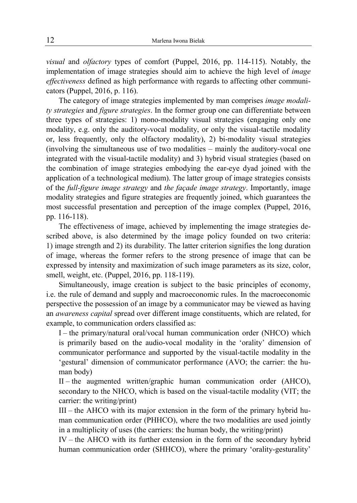*visual* and *olfactory* types of comfort (Puppel, 2016, pp. 114-115). Notably, the implementation of image strategies should aim to achieve the high level of *image effectiveness* defined as high performance with regards to affecting other communicators (Puppel, 2016, p. 116).

The category of image strategies implemented by man comprises *image modality strategies* and *figure strategies*. In the former group one can differentiate between three types of strategies: 1) mono-modality visual strategies (engaging only one modality, e.g. only the auditory-vocal modality, or only the visual-tactile modality or, less frequently, only the olfactory modality), 2) bi-modality visual strategies (involving the simultaneous use of two modalities – mainly the auditory-vocal one integrated with the visual-tactile modality) and 3) hybrid visual strategies (based on the combination of image strategies embodying the ear-eye dyad joined with the application of a technological medium). The latter group of image strategies consists of the *full-figure image strategy* and *the façade image strategy*. Importantly, image modality strategies and figure strategies are frequently joined, which guarantees the most successful presentation and perception of the image complex (Puppel, 2016, pp. 116-118).

The effectiveness of image, achieved by implementing the image strategies described above, is also determined by the image policy founded on two criteria: 1) image strength and 2) its durability. The latter criterion signifies the long duration of image, whereas the former refers to the strong presence of image that can be expressed by intensity and maximization of such image parameters as its size, color, smell, weight, etc. (Puppel, 2016, pp. 118-119).

Simultaneously, image creation is subject to the basic principles of economy, i.e. the rule of demand and supply and macroeconomic rules. In the macroeconomic perspective the possession of an image by a communicator may be viewed as having an *awareness capital* spread over different image constituents, which are related, for example, to communication orders classified as:

I – the primary/natural oral/vocal human communication order (NHCO) which is primarily based on the audio-vocal modality in the 'orality' dimension of communicator performance and supported by the visual-tactile modality in the 'gestural' dimension of communicator performance (AVO; the carrier: the human body)

II – the augmented written/graphic human communication order (AHCO), secondary to the NHCO, which is based on the visual-tactile modality (VIT; the carrier: the writing/print)

III – the AHCO with its major extension in the form of the primary hybrid human communication order (PHHCO), where the two modalities are used jointly in a multiplicity of uses (the carriers: the human body, the writing/print)

IV – the AHCO with its further extension in the form of the secondary hybrid human communication order (SHHCO), where the primary 'orality-gesturality'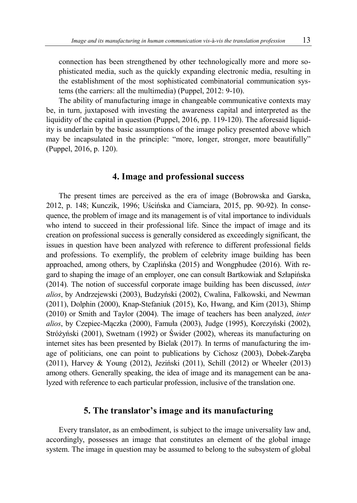connection has been strengthened by other technologically more and more sophisticated media, such as the quickly expanding electronic media, resulting in the establishment of the most sophisticated combinatorial communication systems (the carriers: all the multimedia) (Puppel, 2012: 9-10).

The ability of manufacturing image in changeable communicative contexts may be, in turn, juxtaposed with investing the awareness capital and interpreted as the liquidity of the capital in question (Puppel, 2016, pp. 119-120). The aforesaid liquidity is underlain by the basic assumptions of the image policy presented above which may be incapsulated in the principle: "more, longer, stronger, more beautifully" (Puppel, 2016, p. 120).

### **4. Image and professional success**

The present times are perceived as the era of image (Bobrowska and Garska, 2012, p. 148; Kunczik, 1996; Uścińska and Ciamciara, 2015, pp. 90-92). In consequence, the problem of image and its management is of vital importance to individuals who intend to succeed in their professional life. Since the impact of image and its creation on professional success is generally considered as exceedingly significant, the issues in question have been analyzed with reference to different professional fields and professions. To exemplify, the problem of celebrity image building has been approached, among others, by Czaplińska (2015) and Wongphudee (2016). With regard to shaping the image of an employer, one can consult Bartkowiak and Szłapińska (2014). The notion of successful corporate image building has been discussed, *inter alios*, by Andrzejewski (2003), Budzyński (2002), Cwalina, Falkowski, and Newman (2011), Dolphin (2000), Knap-Stefaniuk (2015), Ko, Hwang, and Kim (2013), Shimp (2010) or Smith and Taylor (2004). The image of teachers has been analyzed, *inter alios*, by Czepiec-Mączka (2000), Famuła (2003), Judge (1995), Korczyński (2002), Stróżyński (2001), Swetnam (1992) or Świder (2002), whereas its manufacturing on internet sites has been presented by Bielak (2017). In terms of manufacturing the image of politicians, one can point to publications by Cichosz (2003), Dobek-Zaręba (2011), Harvey & Young (2012), Jeziński (2011), Schill (2012) or Wheeler (2013) among others. Generally speaking, the idea of image and its management can be analyzed with reference to each particular profession, inclusive of the translation one.

### **5. The translator's image and its manufacturing**

Every translator, as an embodiment, is subject to the image universality law and, accordingly, possesses an image that constitutes an element of the global image system. The image in question may be assumed to belong to the subsystem of global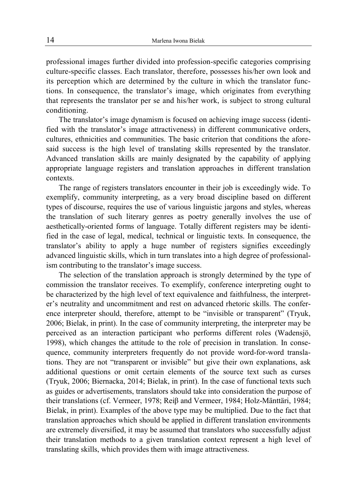professional images further divided into profession-specific categories comprising culture-specific classes. Each translator, therefore, possesses his/her own look and its perception which are determined by the culture in which the translator functions. In consequence, the translator's image, which originates from everything that represents the translator per se and his/her work, is subject to strong cultural conditioning.

The translator's image dynamism is focused on achieving image success (identified with the translator's image attractiveness) in different communicative orders, cultures, ethnicities and communities. The basic criterion that conditions the aforesaid success is the high level of translating skills represented by the translator. Advanced translation skills are mainly designated by the capability of applying appropriate language registers and translation approaches in different translation contexts.

The range of registers translators encounter in their job is exceedingly wide. To exemplify, community interpreting, as a very broad discipline based on different types of discourse, requires the use of various linguistic jargons and styles, whereas the translation of such literary genres as poetry generally involves the use of aesthetically-oriented forms of language. Totally different registers may be identified in the case of legal, medical, technical or linguistic texts. In consequence, the translator's ability to apply a huge number of registers signifies exceedingly advanced linguistic skills, which in turn translates into a high degree of professionalism contributing to the translator's image success.

The selection of the translation approach is strongly determined by the type of commission the translator receives. To exemplify, conference interpreting ought to be characterized by the high level of text equivalence and faithfulness, the interpreter's neutrality and uncommitment and rest on advanced rhetoric skills. The conference interpreter should, therefore, attempt to be "invisible or transparent" (Tryuk, 2006; Bielak, in print). In the case of community interpreting, the interpreter may be perceived as an interaction participant who performs different roles (Wadensjö, 1998), which changes the attitude to the role of precision in translation. In consequence, community interpreters frequently do not provide word-for-word translations. They are not "transparent or invisible" but give their own explanations, ask additional questions or omit certain elements of the source text such as curses (Tryuk, 2006; Biernacka, 2014; Bielak, in print). In the case of functional texts such as guides or advertisements, translators should take into consideration the purpose of their translations (cf. Vermeer, 1978; Reiβ and Vermeer, 1984; Holz-Mänttäri, 1984; Bielak, in print). Examples of the above type may be multiplied. Due to the fact that translation approaches which should be applied in different translation environments are extremely diversified, it may be assumed that translators who successfully adjust their translation methods to a given translation context represent a high level of translating skills, which provides them with image attractiveness.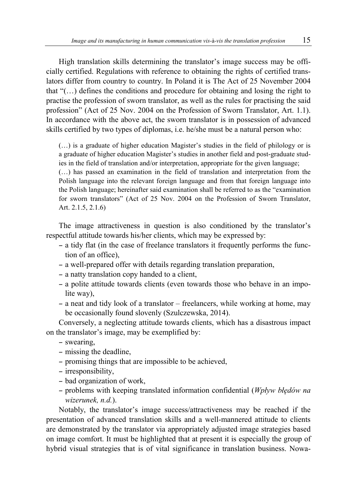High translation skills determining the translator's image success may be officially certified. Regulations with reference to obtaining the rights of certified translators differ from country to country. In Poland it is The Act of 25 November 2004 that "(…) defines the conditions and procedure for obtaining and losing the right to practise the profession of sworn translator, as well as the rules for practising the said profession" (Act of 25 Nov. 2004 on the Profession of Sworn Translator, Art. 1.1). In accordance with the above act, the sworn translator is in possession of advanced skills certified by two types of diplomas, i.e. he/she must be a natural person who:

(…) is a graduate of higher education Magister's studies in the field of philology or is a graduate of higher education Magister's studies in another field and post-graduate studies in the field of translation and/or interpretation, appropriate for the given language; (…) has passed an examination in the field of translation and interpretation from the Polish language into the relevant foreign language and from that foreign language into the Polish language; hereinafter said examination shall be referred to as the "examination for sworn translators" (Act of 25 Nov. 2004 on the Profession of Sworn Translator, Art. 2.1.5, 2.1.6)

The image attractiveness in question is also conditioned by the translator's respectful attitude towards his/her clients, which may be expressed by:

- a tidy flat (in the case of freelance translators it frequently performs the function of an office),
- a well-prepared offer with details regarding translation preparation,
- a natty translation copy handed to a client,
- a polite attitude towards clients (even towards those who behave in an impolite way),
- a neat and tidy look of a translator freelancers, while working at home, may be occasionally found slovenly (Szulczewska, 2014).

Conversely, a neglecting attitude towards clients, which has a disastrous impact on the translator's image, may be exemplified by:

- swearing,
- missing the deadline,
- promising things that are impossible to be achieved,
- irresponsibility,
- bad organization of work,
- problems with keeping translated information confidential (*Wpływ błędów na wizerunek, n.d.*).

Notably, the translator's image success/attractiveness may be reached if the presentation of advanced translation skills and a well-mannered attitude to clients are demonstrated by the translator via appropriately adjusted image strategies based on image comfort. It must be highlighted that at present it is especially the group of hybrid visual strategies that is of vital significance in translation business. Nowa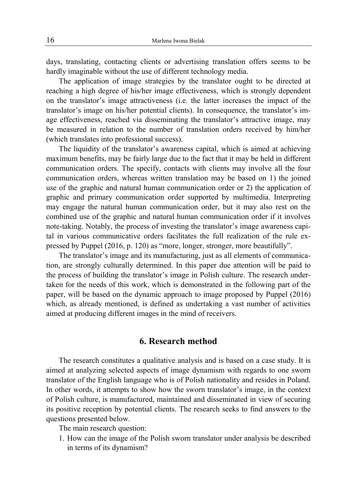days, translating, contacting clients or advertising translation offers seems to be hardly imaginable without the use of different technology media.

The application of image strategies by the translator ought to be directed at reaching a high degree of his/her image effectiveness, which is strongly dependent on the translator's image attractiveness (i.e. the latter increases the impact of the translator's image on his/her potential clients). In consequence, the translator's image effectiveness, reached via disseminating the translator's attractive image, may be measured in relation to the number of translation orders received by him/her (which translates into professional success).

The liquidity of the translator's awareness capital, which is aimed at achieving maximum benefits, may be fairly large due to the fact that it may be held in different communication orders. The specify, contacts with clients may involve all the four communication orders, whereas written translation may be based on 1) the joined use of the graphic and natural human communication order or 2) the application of graphic and primary communication order supported by multimedia. Interpreting may engage the natural human communication order, but it may also rest on the combined use of the graphic and natural human communication order if it involves note-taking. Notably, the process of investing the translator's image awareness capital in various communicative orders facilitates the full realization of the rule expressed by Puppel (2016, p. 120) as "more, longer, stronger, more beautifully".

The translator's image and its manufacturing, just as all elements of communication, are strongly culturally determined. In this paper due attention will be paid to the process of building the translator's image in Polish culture. The research undertaken for the needs of this work, which is demonstrated in the following part of the paper, will be based on the dynamic approach to image proposed by Puppel (2016) which, as already mentioned, is defined as undertaking a vast number of activities aimed at producing different images in the mind of receivers.

### **6. Research method**

The research constitutes a qualitative analysis and is based on a case study. It is aimed at analyzing selected aspects of image dynamism with regards to one sworn translator of the English language who is of Polish nationality and resides in Poland. In other words, it attempts to show how the sworn translator's image, in the context of Polish culture, is manufactured, maintained and disseminated in view of securing its positive reception by potential clients. The research seeks to find answers to the questions presented below.

The main research question:

1. How can the image of the Polish sworn translator under analysis be described in terms of its dynamism?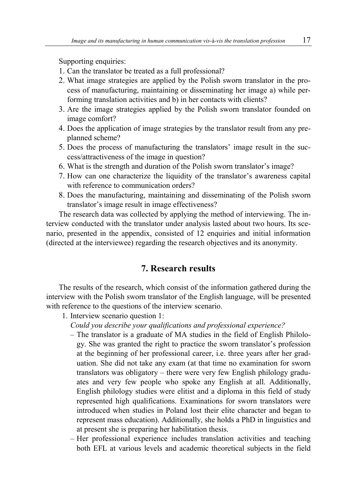Supporting enquiries:

- 1. Can the translator be treated as a full professional?
- 2. What image strategies are applied by the Polish sworn translator in the process of manufacturing, maintaining or disseminating her image a) while performing translation activities and b) in her contacts with clients?
- 3. Are the image strategies applied by the Polish sworn translator founded on image comfort?
- 4. Does the application of image strategies by the translator result from any preplanned scheme?
- 5. Does the process of manufacturing the translators' image result in the success/attractiveness of the image in question?
- 6. What is the strength and duration of the Polish sworn translator's image?
- 7. How can one characterize the liquidity of the translator's awareness capital with reference to communication orders?
- 8. Does the manufacturing, maintaining and disseminating of the Polish sworn translator's image result in image effectiveness?

The research data was collected by applying the method of interviewing. The interview conducted with the translator under analysis lasted about two hours. Its scenario, presented in the appendix, consisted of 12 enquiries and initial information (directed at the interviewee) regarding the research objectives and its anonymity.

### **7. Research results**

The results of the research, which consist of the information gathered during the interview with the Polish sworn translator of the English language, will be presented with reference to the questions of the interview scenario.

- 1. Interview scenario question 1:
	- *Could you describe your qualifications and professional experience?*
	- ‒ The translator is a graduate of MA studies in the field of English Philology. She was granted the right to practice the sworn translator's profession at the beginning of her professional career, i.e. three years after her graduation. She did not take any exam (at that time no examination for sworn translators was obligatory – there were very few English philology graduates and very few people who spoke any English at all. Additionally, English philology studies were elitist and a diploma in this field of study represented high qualifications. Examinations for sworn translators were introduced when studies in Poland lost their elite character and began to represent mass education). Additionally, she holds a PhD in linguistics and at present she is preparing her habilitation thesis.
	- ‒ Her professional experience includes translation activities and teaching both EFL at various levels and academic theoretical subjects in the field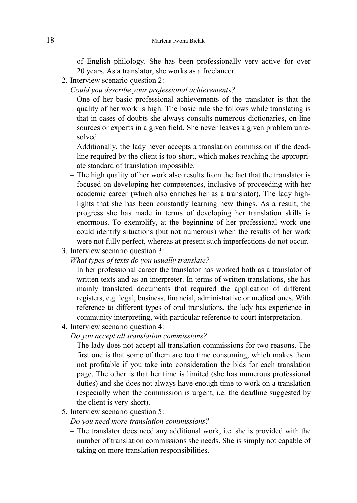of English philology. She has been professionally very active for over 20 years. As a translator, she works as a freelancer.

2. Interview scenario question 2:

#### *Could you describe your professional achievements?*

- ‒ One of her basic professional achievements of the translator is that the quality of her work is high. The basic rule she follows while translating is that in cases of doubts she always consults numerous dictionaries, on-line sources or experts in a given field. She never leaves a given problem unresolved.
- ‒ Additionally, the lady never accepts a translation commission if the deadline required by the client is too short, which makes reaching the appropriate standard of translation impossible.
- ‒ The high quality of her work also results from the fact that the translator is focused on developing her competences, inclusive of proceeding with her academic career (which also enriches her as a translator). The lady highlights that she has been constantly learning new things. As a result, the progress she has made in terms of developing her translation skills is enormous. To exemplify, at the beginning of her professional work one could identify situations (but not numerous) when the results of her work were not fully perfect, whereas at present such imperfections do not occur.
- 3. Interview scenario question 3:
	- *What types of texts do you usually translate?*
	- ‒ In her professional career the translator has worked both as a translator of written texts and as an interpreter. In terms of written translations, she has mainly translated documents that required the application of different registers, e.g. legal, business, financial, administrative or medical ones. With reference to different types of oral translations, the lady has experience in community interpreting, with particular reference to court interpretation.
- 4. Interview scenario question 4:
	- *Do you accept all translation commissions?*
	- ‒ The lady does not accept all translation commissions for two reasons. The first one is that some of them are too time consuming, which makes them not profitable if you take into consideration the bids for each translation page. The other is that her time is limited (she has numerous professional duties) and she does not always have enough time to work on a translation (especially when the commission is urgent, i.e. the deadline suggested by the client is very short).
- 5. Interview scenario question 5:

*Do you need more translation commissions?* 

‒ The translator does need any additional work, i.e. she is provided with the number of translation commissions she needs. She is simply not capable of taking on more translation responsibilities.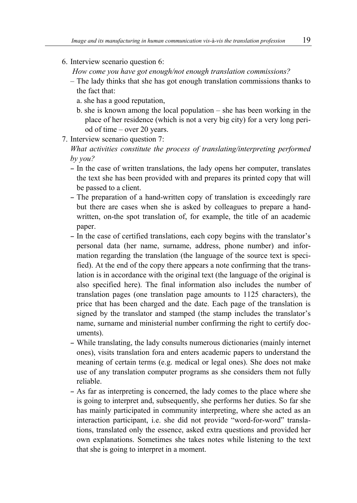- 6. Interview scenario question 6:
	- *How come you have got enough/not enough translation commissions?*
	- ‒ The lady thinks that she has got enough translation commissions thanks to the fact that:
		- a. she has a good reputation,
		- b. she is known among the local population she has been working in the place of her residence (which is not a very big city) for a very long period of time – over 20 years.
- 7. Interview scenario question 7:

*What activities constitute the process of translating/interpreting performed by you?* 

- In the case of written translations, the lady opens her computer, translates the text she has been provided with and prepares its printed copy that will be passed to a client.
- The preparation of a hand-written copy of translation is exceedingly rare but there are cases when she is asked by colleagues to prepare a handwritten, on-the spot translation of, for example, the title of an academic paper.
- In the case of certified translations, each copy begins with the translator's personal data (her name, surname, address, phone number) and information regarding the translation (the language of the source text is specified). At the end of the copy there appears a note confirming that the translation is in accordance with the original text (the language of the original is also specified here). The final information also includes the number of translation pages (one translation page amounts to 1125 characters), the price that has been charged and the date. Each page of the translation is signed by the translator and stamped (the stamp includes the translator's name, surname and ministerial number confirming the right to certify documents).
- While translating, the lady consults numerous dictionaries (mainly internet ones), visits translation fora and enters academic papers to understand the meaning of certain terms (e.g. medical or legal ones). She does not make use of any translation computer programs as she considers them not fully reliable.
- As far as interpreting is concerned, the lady comes to the place where she is going to interpret and, subsequently, she performs her duties. So far she has mainly participated in community interpreting, where she acted as an interaction participant, i.e. she did not provide "word-for-word" translations, translated only the essence, asked extra questions and provided her own explanations. Sometimes she takes notes while listening to the text that she is going to interpret in a moment.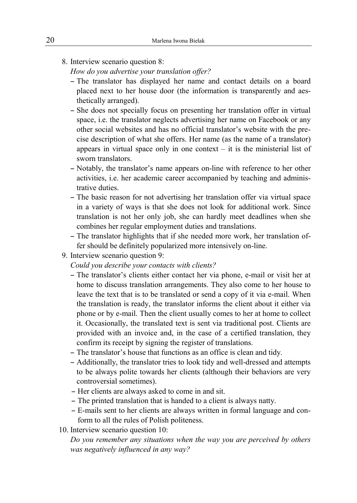8. Interview scenario question 8:

*How do you advertise your translation offer?* 

- The translator has displayed her name and contact details on a board placed next to her house door (the information is transparently and aesthetically arranged).
- She does not specially focus on presenting her translation offer in virtual space, i.e. the translator neglects advertising her name on Facebook or any other social websites and has no official translator's website with the precise description of what she offers. Her name (as the name of a translator) appears in virtual space only in one context  $-$  it is the ministerial list of sworn translators.
- Notably, the translator's name appears on-line with reference to her other activities, i.e. her academic career accompanied by teaching and administrative duties.
- The basic reason for not advertising her translation offer via virtual space in a variety of ways is that she does not look for additional work. Since translation is not her only job, she can hardly meet deadlines when she combines her regular employment duties and translations.
- The translator highlights that if she needed more work, her translation offer should be definitely popularized more intensively on-line.
- 9. Interview scenario question 9:

*Could you describe your contacts with clients?* 

- The translator's clients either contact her via phone, e-mail or visit her at home to discuss translation arrangements. They also come to her house to leave the text that is to be translated or send a copy of it via e-mail. When the translation is ready, the translator informs the client about it either via phone or by e-mail. Then the client usually comes to her at home to collect it. Occasionally, the translated text is sent via traditional post. Clients are provided with an invoice and, in the case of a certified translation, they confirm its receipt by signing the register of translations.
- The translator's house that functions as an office is clean and tidy.
- Additionally, the translator tries to look tidy and well-dressed and attempts to be always polite towards her clients (although their behaviors are very controversial sometimes).
- Her clients are always asked to come in and sit.
- The printed translation that is handed to a client is always natty.
- E-mails sent to her clients are always written in formal language and conform to all the rules of Polish politeness.
- 10. Interview scenario question 10:

*Do you remember any situations when the way you are perceived by others was negatively influenced in any way?*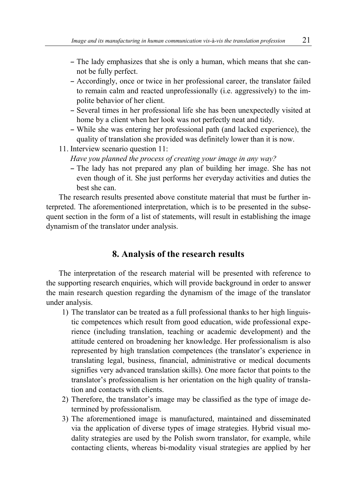- The lady emphasizes that she is only a human, which means that she cannot be fully perfect.
- Accordingly, once or twice in her professional career, the translator failed to remain calm and reacted unprofessionally (i.e. aggressively) to the impolite behavior of her client.
- Several times in her professional life she has been unexpectedly visited at home by a client when her look was not perfectly neat and tidy.
- While she was entering her professional path (and lacked experience), the quality of translation she provided was definitely lower than it is now.
- 11. Interview scenario question 11:

*Have you planned the process of creating your image in any way?* 

– The lady has not prepared any plan of building her image. She has not even though of it. She just performs her everyday activities and duties the best she can.

The research results presented above constitute material that must be further interpreted. The aforementioned interpretation, which is to be presented in the subsequent section in the form of a list of statements, will result in establishing the image dynamism of the translator under analysis.

### **8. Analysis of the research results**

The interpretation of the research material will be presented with reference to the supporting research enquiries, which will provide background in order to answer the main research question regarding the dynamism of the image of the translator under analysis.

- 1) The translator can be treated as a full professional thanks to her high linguistic competences which result from good education, wide professional experience (including translation, teaching or academic development) and the attitude centered on broadening her knowledge. Her professionalism is also represented by high translation competences (the translator's experience in translating legal, business, financial, administrative or medical documents signifies very advanced translation skills). One more factor that points to the translator's professionalism is her orientation on the high quality of translation and contacts with clients.
- 2) Therefore, the translator's image may be classified as the type of image determined by professionalism.
- 3) The aforementioned image is manufactured, maintained and disseminated via the application of diverse types of image strategies. Hybrid visual modality strategies are used by the Polish sworn translator, for example, while contacting clients, whereas bi-modality visual strategies are applied by her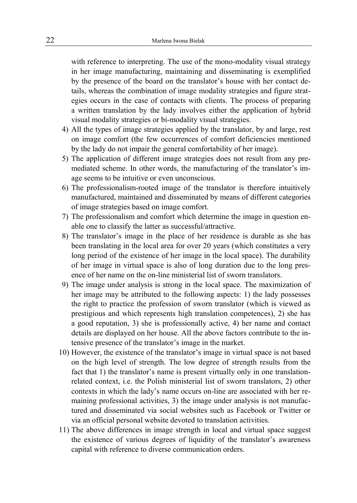with reference to interpreting. The use of the mono-modality visual strategy in her image manufacturing, maintaining and disseminating is exemplified by the presence of the board on the translator's house with her contact details, whereas the combination of image modality strategies and figure strategies occurs in the case of contacts with clients. The process of preparing a written translation by the lady involves either the application of hybrid visual modality strategies or bi-modality visual strategies.

- 4) All the types of image strategies applied by the translator, by and large, rest on image comfort (the few occurrences of comfort deficiencies mentioned by the lady do not impair the general comfortability of her image).
- 5) The application of different image strategies does not result from any premediated scheme. In other words, the manufacturing of the translator's image seems to be intuitive or even unconscious.
- 6) The professionalism-rooted image of the translator is therefore intuitively manufactured, maintained and disseminated by means of different categories of image strategies based on image comfort.
- 7) The professionalism and comfort which determine the image in question enable one to classify the latter as successful/attractive.
- 8) The translator's image in the place of her residence is durable as she has been translating in the local area for over 20 years (which constitutes a very long period of the existence of her image in the local space). The durability of her image in virtual space is also of long duration due to the long presence of her name on the on-line ministerial list of sworn translators.
- 9) The image under analysis is strong in the local space. The maximization of her image may be attributed to the following aspects: 1) the lady possesses the right to practice the profession of sworn translator (which is viewed as prestigious and which represents high translation competences), 2) she has a good reputation, 3) she is professionally active, 4) her name and contact details are displayed on her house. All the above factors contribute to the intensive presence of the translator's image in the market.
- 10) However, the existence of the translator's image in virtual space is not based on the high level of strength. The low degree of strength results from the fact that 1) the translator's name is present virtually only in one translationrelated context, i.e. the Polish ministerial list of sworn translators, 2) other contexts in which the lady's name occurs on-line are associated with her remaining professional activities, 3) the image under analysis is not manufactured and disseminated via social websites such as Facebook or Twitter or via an official personal website devoted to translation activities.
- 11) The above differences in image strength in local and virtual space suggest the existence of various degrees of liquidity of the translator's awareness capital with reference to diverse communication orders.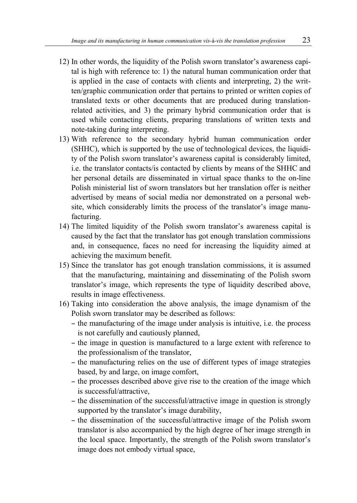- 12) In other words, the liquidity of the Polish sworn translator's awareness capital is high with reference to: 1) the natural human communication order that is applied in the case of contacts with clients and interpreting, 2) the written/graphic communication order that pertains to printed or written copies of translated texts or other documents that are produced during translationrelated activities, and 3) the primary hybrid communication order that is used while contacting clients, preparing translations of written texts and note-taking during interpreting.
- 13) With reference to the secondary hybrid human communication order (SHHC), which is supported by the use of technological devices, the liquidity of the Polish sworn translator's awareness capital is considerably limited, i.e. the translator contacts/is contacted by clients by means of the SHHC and her personal details are disseminated in virtual space thanks to the on-line Polish ministerial list of sworn translators but her translation offer is neither advertised by means of social media nor demonstrated on a personal website, which considerably limits the process of the translator's image manufacturing.
- 14) The limited liquidity of the Polish sworn translator's awareness capital is caused by the fact that the translator has got enough translation commissions and, in consequence, faces no need for increasing the liquidity aimed at achieving the maximum benefit.
- 15) Since the translator has got enough translation commissions, it is assumed that the manufacturing, maintaining and disseminating of the Polish sworn translator's image, which represents the type of liquidity described above, results in image effectiveness.
- 16) Taking into consideration the above analysis, the image dynamism of the Polish sworn translator may be described as follows:
	- the manufacturing of the image under analysis is intuitive, i.e. the process is not carefully and cautiously planned,
	- the image in question is manufactured to a large extent with reference to the professionalism of the translator,
	- the manufacturing relies on the use of different types of image strategies based, by and large, on image comfort,
	- the processes described above give rise to the creation of the image which is successful/attractive,
	- the dissemination of the successful/attractive image in question is strongly supported by the translator's image durability,
	- the dissemination of the successful/attractive image of the Polish sworn translator is also accompanied by the high degree of her image strength in the local space. Importantly, the strength of the Polish sworn translator's image does not embody virtual space,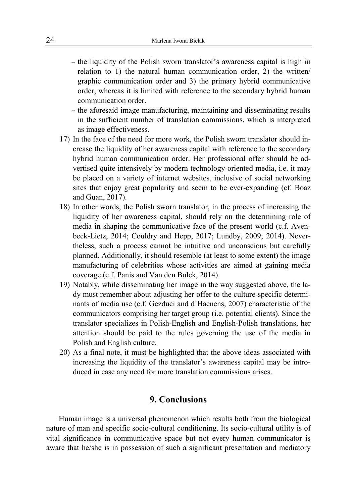- the liquidity of the Polish sworn translator's awareness capital is high in relation to 1) the natural human communication order, 2) the written/ graphic communication order and 3) the primary hybrid communicative order, whereas it is limited with reference to the secondary hybrid human communication order.
- the aforesaid image manufacturing, maintaining and disseminating results in the sufficient number of translation commissions, which is interpreted as image effectiveness.
- 17) In the face of the need for more work, the Polish sworn translator should increase the liquidity of her awareness capital with reference to the secondary hybrid human communication order. Her professional offer should be advertised quite intensively by modern technology-oriented media, i.e. it may be placed on a variety of internet websites, inclusive of social networking sites that enjoy great popularity and seem to be ever-expanding (cf. Boaz and Guan, 2017).
- 18) In other words, the Polish sworn translator, in the process of increasing the liquidity of her awareness capital, should rely on the determining role of media in shaping the communicative face of the present world (c.f. Avenbeck-Lietz, 2014; Couldry and Hepp, 2017; Lundby, 2009; 2014). Nevertheless, such a process cannot be intuitive and unconscious but carefully planned. Additionally, it should resemble (at least to some extent) the image manufacturing of celebrities whose activities are aimed at gaining media coverage (c.f. Panis and Van den Bulck, 2014).
- 19) Notably, while disseminating her image in the way suggested above, the lady must remember about adjusting her offer to the culture-specific determinants of media use (c.f. Gezduci and d´Haenens, 2007) characteristic of the communicators comprising her target group (i.e. potential clients). Since the translator specializes in Polish-English and English-Polish translations, her attention should be paid to the rules governing the use of the media in Polish and English culture.
- 20) As a final note, it must be highlighted that the above ideas associated with increasing the liquidity of the translator's awareness capital may be introduced in case any need for more translation commissions arises.

### **9. Conclusions**

Human image is a universal phenomenon which results both from the biological nature of man and specific socio-cultural conditioning. Its socio-cultural utility is of vital significance in communicative space but not every human communicator is aware that he/she is in possession of such a significant presentation and mediatory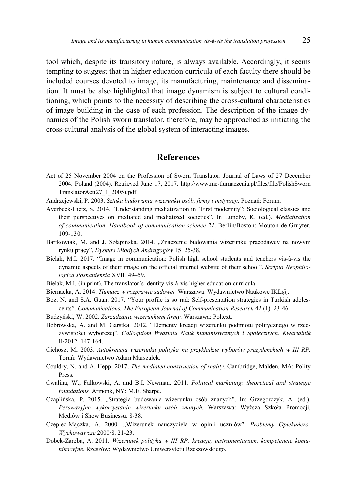tool which, despite its transitory nature, is always available. Accordingly, it seems tempting to suggest that in higher education curricula of each faculty there should be included courses devoted to image, its manufacturing, maintenance and dissemination. It must be also highlighted that image dynamism is subject to cultural conditioning, which points to the necessity of describing the cross-cultural characteristics of image building in the case of each profession. The description of the image dynamics of the Polish sworn translator, therefore, may be approached as initiating the cross-cultural analysis of the global system of interacting images.

### **References**

- Act of 25 November 2004 on the Profession of Sworn Translator. Journal of Laws of 27 December 2004. Poland (2004). Retrieved June 17, 2017. http://www.mc-tlumaczenia.pl/files/file/PolishSworn TranslatorAct(27\_1\_2005).pdf
- Andrzejewski, P. 2003. *Sztuka budowania wizerunku osób, firmy i instytucji.* Poznań: Forum.
- Averbeck-Lietz, S. 2014. "Understanding mediatization in "First modernity": Sociological classics and their perspectives on mediated and mediatized societies". In Lundby, K. (ed.). *Mediatization of communication. Handbook of communication science 21*. Berlin/Boston: Mouton de Gruyter. 109-130.
- Bartkowiak, M. and J. Szłapińska. 2014. "Znaczenie budowania wizerunku pracodawcy na nowym rynku pracy". *Dyskurs Młodych Andragogów* 15. 25-38.
- Bielak, M.I. 2017. "Image in communication: Polish high school students and teachers vis-à-vis the dynamic aspects of their image on the official internet website of their school". *Scripta Neophilologica Posnaniensia* XVII*.* 49–59.
- Bielak, M.I. (in print). The translator's identity vis-à-vis higher education curricula.
- Biernacka, A. 2014. *Tłumacz w rozprawie sądowej.* Warszawa: Wydawnictwo Naukowe IKL@.
- Boz, N. and S.A. Guan. 2017. "Your profile is so rad: Self-presentation strategies in Turkish adolescents". *Communications. The European Journal of Communication Research* 42 (1). 23-46.
- Budzyński, W. 2002. *Zarządzanie wizerunkiem firmy.* Warszawa: Poltext.
- Bobrowska, A. and M. Garstka. 2012. "Elementy kreacji wizerunku podmiotu politycznego w rzeczywistości wyborczej". Colloquiom Wydziału Nauk humanistycznych i Społecznych. Kwartalnik II/2012*.* 147-164.
- Cichosz, M. 2003. *Autokreacja wizerunku polityka na przykładzie wyborów prezydenckich w III RP.* Toruń: Wydawnictwo Adam Marszałek.
- Couldry, N. and A. Hepp. 2017. *The mediated construction of reality.* Cambridge, Malden, MA: Polity Press.
- Cwalina, W., Falkowski, A. and B.I. Newman. 2011. *Political marketing: theoretical and strategic foundations.* Armonk, NY: M.E. Sharpe.
- Czaplińska, P. 2015. "Strategia budowania wizerunku osób znanych". In: Grzegorczyk, A. (ed.). *Perswazyjne wykorzystanie wizerunku osób znanych.* Warszawa: Wyższa Szkoła Promocji, Mediów i Show Businessu. 8-38.
- Czepiec-Mączka, A. 2000. "Wizerunek nauczyciela w opinii uczniów". *Problemy Opiekuńczo-Wychowawcze* 2000/8. 21-23.
- Dobek-Zaręba, A. 2011. *Wizerunek polityka w III RP: kreacje, instrumentarium, kompetencje komunikacyjne.* Rzeszów: Wydawnictwo Uniwersytetu Rzeszowskiego.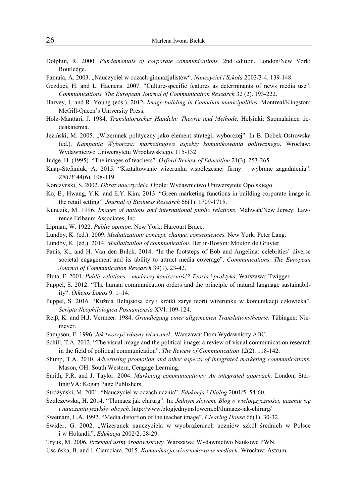- Dolphin, R. 2000. *Fundamentals of corporate communications.* 2nd edition. London/New York: Routledge.
- Famuła, A. 2003. "Nauczyciel w oczach gimnazjalistów". *auczyciel i Szkoła* 2003/3-4. 139-148.
- Gezduci, H. and L. Haenens. 2007. "Culture-specific features as determinants of news media use". *Communications. The European Journal of Communication Research* 32 (2). 193-222.
- Harvey, J. and R. Young (eds.). 2012**.** *Image-building in Canadian municipalities.* Montreal/Kingston: McGill-Queen's University Press.
- Holz-Mänttäri, J. 1984. *Translatorisches Handeln: Theorie und Methode.* Helsinki: Suomalainen tiedeakatemia.
- Jeziński, M. 2005. "Wizerunek polityczny jako element strategii wyborczej". In B. Dobek-Ostrowska (ed.). *Kampania Wyborcza: marketingowe aspekty komunikowania politycznego*. Wrocław: Wydawnictwo Uniwersytetu Wrocławskiego. 115-132.
- Judge, H. (1995). "The images of teachers". *Oxford Review of Education* 21(3). 253-265.
- Knap-Stefaniuk, A. 2015. "Kształtowanie wizerunku współczesnej firmy wybrane zagadnienia". *ZUV* 44(6). 108-119.
- Korczyński, S. 2002. *Obraz nauczyciela.* Opole: Wydawnictwo Uniwersytetu Opolskiego.
- Ko, E., Hwang, Y.K. and E.Y. Kim. 2013. "Green marketing functions in building corporate image in the retail setting". *Journal of Business Research* 66(1). 1709-1715.
- Kunczik, M. 1996. *Images of nations and international public relations*. Mahwah/New Jersey: Lawrence Erlbaum Associates, Inc.
- Lipman, W. 1922. *Public opinion*. New York: Harcourt Brace.
- Lundby, K. (ed.). 2009. *Mediatization: concept, change, consequences.* New York: Peter Lang.
- Lundby, K. (ed.). 2014. *Mediatization of communication.* Berlin/Boston: Mouton de Gruyter.
- Panis, K., and H. Van den Bulck. 2014. "In the footsteps of Bob and Angelina: celebrities' diverse societal engagement and its ability to attract media coverage". *Communications. The European Journal of Communication Research* 39(1). 23-42.
- Pluta, E. 2001. *Public relations moda czy konieczność? Teoria i praktyka*. Warszawa: Twigger.
- Puppel, S. 2012. "The human communication orders and the principle of natural language sustainability". *Oikeios Logos* 9. 1–14.
- Puppel, S. 2016. "Kuźnia Hefajstosa czyli krótki zarys teorii wizerunku w komunikacji człowieka". *Scripta eophilologica Posnaniensia* XVI. 109-124.
- Reiβ, K. and H.J. Vermeer. 1984. *Grundlegung einer allgemeinen Translationstheorie*. Tübingen: Niemeyer.
- Sampson, E. 1996. *Jak tworzyć własny wizerunek.* Warszawa: Dom Wydawniczy ABC.
- Schill, T.A. 2012. "The visual image and the political image: a review of visual communication research in the field of political communication". *The Review of Communication* 12(2). 118-142.
- Shimp, T.A. 2010. *Advertising promotion and other aspects of integrated marketing communications.*  Mason, OH: South Western, Cengage Learning.
- Smith, P.R. and J. Taylor. 2004. *Marketing communications: An integrated approach.* London, Sterling/VA: Kogan Page Publishers.
- Stróżyński, M. 2001. "Nauczyciel w oczach ucznia". *Edukacja i Dialog* 2001/5. 54-60.
- Szulczewska, H. 2014. "Tłumacz jak chirurg". In: *Jednym słowem. Blog o wielojęzyczności, uczeniu się i nauczaniu języków obcych.* http://www.blogjednymslowem.pl/tlumacz-jak-chirurg/
- Swetnam, L.A. 1992. "Media distortion of the teacher image". *Clearing House* 66(1). 30-32.
- Świder, G. 2002. "Wizerunek nauczyciela w wyobrażeniach uczniów szkół średnich w Polsce i w Holandii". *Edukacja* 2002/2. 28-29.
- Tryuk, M. 2006. *Przekład ustny środowiskowy.* Warszawa: Wydawnictwo Naukowe PWN.
- Uścińska, B. and J. Ciamciara. 2015. *Komunikacja wizerunkowa w mediach.* Wrocław: Astrum.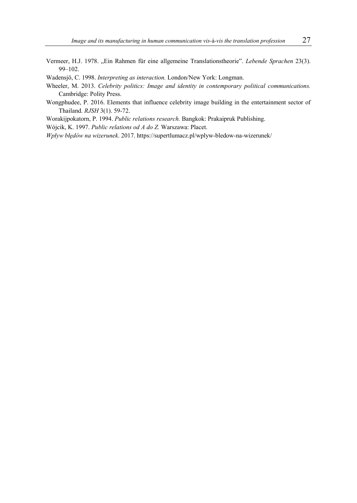- Vermeer, H.J. 1978. "Ein Rahmen für eine allgemeine Translationstheorie". *Lebende Sprachen* 23(3). 99–102.
- Wadensjö, C. 1998. *Interpreting as interaction.* London/New York: Longman.
- Wheeler, M. 2013. *Celebrity politics: Image and identity in contemporary political communications.* Cambridge: Polity Press.
- Wongphudee, P. 2016. Elements that influence celebrity image building in the entertainment sector of Thailand. *RJSH* 3(1). 59-72.
- Worakijpokatorn, P. 1994. *Public relations research.* Bangkok: Prakaipruk Publishing.
- Wójcik, K. 1997. *Public relations od A do Z.* Warszawa: Placet.
- *Wpływ błędów na wizerunek*. 2017. https://supertlumacz.pl/wplyw-bledow-na-wizerunek/